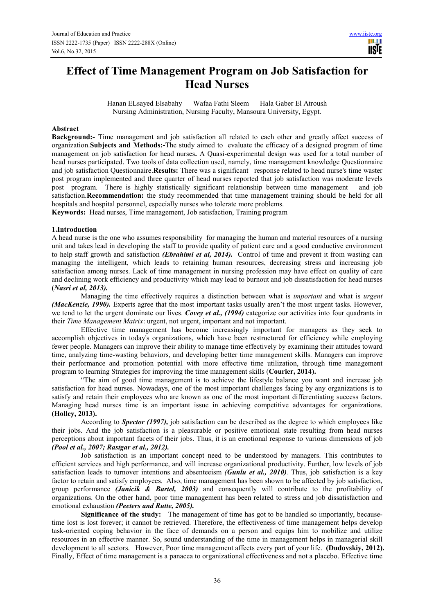# **Effect of Time Management Program on Job Satisfaction for Head Nurses**

Hanan ELsayed Elsabahy Wafaa Fathi Sleem Hala Gaber El Atroush Nursing Administration, Nursing Faculty, Mansoura University, Egypt.

## **Abstract**

**Background:-** Time management and job satisfaction all related to each other and greatly affect success of organization.**Subjects and Methods:-**The study aimed to evaluate the efficacy of a designed program of time management on job satisfaction for head nurses**.** A Quasi-experimental design was used for a total number of head nurses participated. Two tools of data collection used, namely, time management knowledge Questionnaire and job satisfaction Questionnaire.**Results:** There was a significant response related to head nurse's time waster post program implemented and three quarter of head nurses reported that job satisfaction was moderate levels post program. There is highly statistically significant relationship between time management and job satisfaction.**Recommendation:** the study recommended that time management training should be held for all hospitals and hospital personnel, especially nurses who tolerate more problems.

**Keywords:** Head nurses, Time management, Job satisfaction, Training program

### **1.Introduction**

A head nurse is the one who assumes responsibility for managing the human and material resources of a nursing unit and takes lead in developing the staff to provide quality of patient care and a good conductive environment to help staff growth and satisfaction *(Ebrahimi et al, 2014).* Control of time and prevent it from wasting can managing the intelligent, which leads to retaining human resources, decreasing stress and increasing job satisfaction among nurses. Lack of time management in nursing profession may have effect on quality of care and declining work efficiency and productivity which may lead to burnout and job dissatisfaction for head nurses **(***Nasri et al, 2013).*

Managing the time effectively requires a distinction between what is *important* and what is *urgent (MacKenzie, 1990).* Experts agree that the most important tasks usually aren't the most urgent tasks. However, we tend to let the urgent dominate our lives. *Covey et al., (1994)* categorize our activities into four quadrants in their *Time Management Matrix*: urgent, not urgent, important and not important.

Effective time management has become increasingly important for managers as they seek to accomplish objectives in today's organizations, which have been restructured for efficiency while employing fewer people. Managers can improve their ability to manage time effectively by examining their attitudes toward time, analyzing time-wasting behaviors, and developing better time management skills. Managers can improve their performance and promotion potential with more effective time utilization, through time management program to learning Strategies for improving the time management skills (**Courier, 2014).** 

"The aim of good time management is to achieve the lifestyle balance you want and increase job satisfaction for head nurses. Nowadays, one of the most important challenges facing by any organizations is to satisfy and retain their employees who are known as one of the most important differentiating success factors. Managing head nurses time is an important issue in achieving competitive advantages for organizations. **(Holley, 2013).**

According to *Spector (1997),* job satisfaction can be described as the degree to which employees like their jobs. And the job satisfaction is a pleasurable or positive emotional state resulting from head nurses perceptions about important facets of their jobs. Thus, it is an emotional response to various dimensions of job *(Pool et al., 2007; Rastgar et al., 2012).* 

Job satisfaction is an important concept need to be understood by managers. This contributes to efficient services and high performance, and will increase organizational productivity. Further, low levels of job satisfaction leads to turnover intentions and absenteeism *(Gunlu et al., 2010).* Thus, job satisfaction is a key factor to retain and satisfy employees. Also, time management has been shown to be affected by job satisfaction, group performance *(Janicik & Bartel, 2003)* and consequently will contribute to the profitability of organizations. On the other hand, poor time management has been related to stress and job dissatisfaction and emotional exhaustion *(Peeters and Rutte, 2005).* 

**Significance of the study:** The management of time has got to be handled so importantly, becausetime lost is lost forever; it cannot be retrieved. Therefore, the effectiveness of time management helps develop task-oriented coping behavior in the face of demands on a person and equips him to mobilize and utilize resources in an effective manner. So, sound understanding of the time in management helps in managerial skill development to all sectors. However, Poor time management affects every part of your life. **(Dudovskiy, 2012).** Finally, Effect of time management is a panacea to organizational effectiveness and not a placebo. Effective time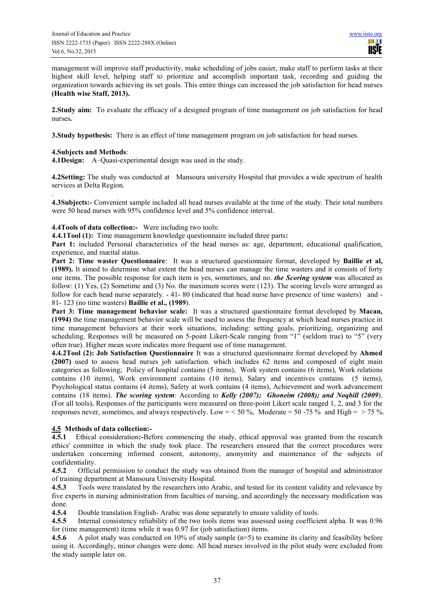management will improve staff productivity, make scheduling of jobs easier, make staff to perform tasks at their highest skill level, helping staff to prioritize and accomplish important task, recording and guiding the organization towards achieving its set goals. This entire things can increased the job satisfaction for head nurses **(Health wise Staff, 2013).** 

**2.Study aim:** To evaluate the efficacy of a designed program of time management on job satisfaction for head nurses**.** 

**3. Study hypothesis:** There is an effect of time management program on job satisfaction for head nurses.

## **4.Subjects and Methods**:

**4.1Design:** A–Quasi-experimental design was used in the study.

**4.2Setting:** The study was conducted at Mansoura university Hospital that provides a wide spectrum of health services at Delta Region.

. **4.3Subjects:-** Convenient sample included all head nurses available at the time of the study. Their total numbers were 50 head nurses with 95% confidence level and 5% confidence interval.

**4.4Tools of data collection:-** Were including two tools:

**4.4.1Tool (1):** Time management knowledge questionnaire included three parts**:** 

**Part 1:** included Personal characteristics of the head nurses as: age, department, educational qualification, experience, and marital status.

**Part 2: Time waster Questionnaire**: It was a structured questionnaire format, developed by **Baillie et al, (1989).** It aimed to determine what extent the head nurses can manage the time wasters and it consists of forty one items. The possible response for each item is yes, sometimes, and no. *the Scoring system* was allocated as follow: (1) Yes, (2) Sometime and (3) No. the maximum scores were (123). The scoring levels were arranged as follow for each head nurse separately. - 41- 80 (indicated that head nurse have presence of time wasters) and - 81- 123 (no time wasters) **Baillie et al., (1989**).

**Part 3: Time management behavior scale:** It was a structured questionnaire format developed by **Macan, (1994)** the time management behavior scale will be used to assess the frequency at which head nurses practice in time management behaviors at their work situations, including: setting goals, prioritizing, organizing and scheduling. Responses will be measured on 5-point Likert-Scale ranging from "1" (seldom true) to "5" (very often true). Higher mean score indicates more frequent use of time management.

**4.4.2Tool (2): Job Satisfaction Questionnaire** It was a structured questionnaire format developed by **Ahmed (2007)** used to assess head nurses job satisfaction. which includes 62 items and composed of eight main categories as following; Policy of hospital contains (5 items), Work system contains (6 items), Work relations contains (10 items), Work environment contains (10 items), Salary and incentives contains (5 items), Psychological status contains (4 items), Safety at work contains (4 items), Achievement and work advancement contains (18 items). *The scoring system*: According to *Kelly (2007); Ghoneim (2008); and Noqbill (2009*). (For all tools)**.** Responses of the participants were measured on three-point Likert scale ranged 1, 2, and 3 for the responses never, sometimes, and always respectively. Low = < 50 %, Moderate = 50 -75 % and High = > 75 %.

# **4.5 Methods of data collection:-**

**4.5.1** Ethical consideration**:-**Before commencing the study, ethical approval was granted from the research ethics' committee in which the study took place. The researchers ensured that the correct procedures were undertaken concerning informed consent, autonomy, anonymity and maintenance of the subjects of confidentiality.

**4.5.2** Official permission to conduct the study was obtained from the manager of hospital and administrator of training department at Mansoura University Hospital.

**4.5.3** Tools were translated by the researchers into Arabic, and tested for its content validity and relevance by five experts in nursing administration from faculties of nursing, and accordingly the necessary modification was done.

**4.5.4** Double translation English- Arabic was done separately to ensure validity of tools.

**4.5.5** Internal consistency reliability of the two tools items was assessed using coefficient alpha. It was 0.96 for (time management) items while it was 0.97 for (job satisfaction) items.

**4.5.6** A pilot study was conducted on 10% of study sample (n=5) to examine its clarity and feasibility before using it. Accordingly, minor changes were done. All head nurses involved in the pilot study were excluded from the study sample later on.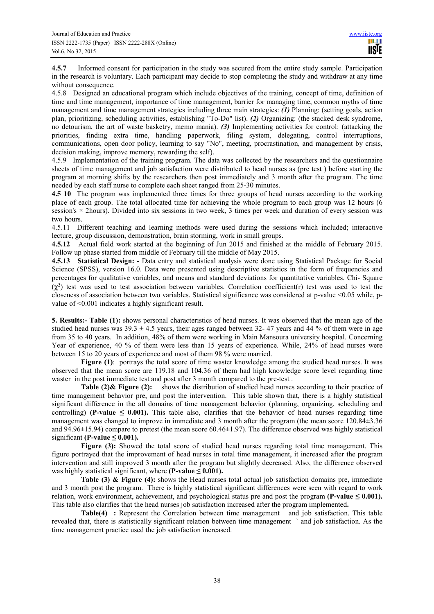**4.5.7** Informed consent for participation in the study was secured from the entire study sample. Participation in the research is voluntary. Each participant may decide to stop completing the study and withdraw at any time without consequence.

4.5.8 Designed an educational program which include objectives of the training, concept of time, definition of time and time management, importance of time management, barrier for managing time, common myths of time management and time management strategies including three main strategies: *(1)* Planning: (setting goals, action plan, prioritizing, scheduling activities, establishing "To-Do" list). *(2)* Organizing: (the stacked desk syndrome, no detourism, the art of waste basketry, memo mania). *(3)* Implementing activities for control: (attacking the priorities, finding extra time, handling paperwork, filing system, delegating, control interruptions, communications, open door policy, learning to say "No", meeting, procrastination, and management by crisis, decision making, improve memory, rewarding the self).

4.5.9 Implementation of the training program. The data was collected by the researchers and the questionnaire sheets of time management and job satisfaction were distributed to head nurses as (pre test ) before starting the program at morning shifts by the researchers then post immediately and 3 month after the program. The time needed by each staff nurse to complete each sheet ranged from 25-30 minutes.

**4.5 10** The program was implemented three times for three groups of head nurses according to the working place of each group. The total allocated time for achieving the whole program to each group was 12 hours (6 session's × 2hours). Divided into six sessions in two week, 3 times per week and duration of every session was two hours.

4.5.11 Different teaching and learning methods were used during the sessions which included; interactive lecture, group discussion, demonstration, brain storming, work in small groups.

**4.5.12** Actual field work started at the beginning of Jun 2015 and finished at the middle of February 2015. Follow up phase started from middle of February till the middle of May 2015.

**4.5.13 Statistical Design: -** Data entry and statistical analysis were done using Statistical Package for Social Science (SPSS), version 16.0. Data were presented using descriptive statistics in the form of frequencies and percentages for qualitative variables, and means and standard deviations for quantitative variables. Chi- Square  $(\chi^2)$  test was used to test association between variables. Correlation coefficient(r) test was used to test the closeness of association between two variables. Statistical significance was considered at p-value <0.05 while, pvalue of <0.001 indicates a highly significant result.

**5. Results:- Table (1):** shows personal characteristics of head nurses. It was observed that the mean age of the studied head nurses was  $39.3 \pm 4.5$  years, their ages ranged between  $32-47$  years and 44 % of them were in age from 35 to 40 years. In addition, 48% of them were working in Main Mansoura university hospital. Concerning Year of experience, 40 % of them were less than 15 years of experience. While, 24% of head nurses were between 15 to 20 years of experience and most of them 98 % were married.

**Figure (1)**: portrays the total score of time waster knowledge among the studied head nurses. It was observed that the mean score are 119.18 and 104.36 of them had high knowledge score level regarding time waster in the post immediate test and post after 3 month compared to the pre-test .

**Table (2)& Figure (2):** shows the distribution of studied head nurses according to their practice of time management behavior pre, and post the intervention. This table shown that, there is a highly statistical significant difference in the all domains of time management behavior (planning, organizing, scheduling and controlling) **(P-value**  $\leq$  **0.001).** This table also, clarifies that the behavior of head nurses regarding time management was changed to improve in immediate and 3 month after the program (the mean score 120.84±3.36 and 94.96±15.94) compare to pretest (the mean score 60.46±1.97). The difference observed was highly statistical significant **(P-value**  $\leq$  **0.001).** 

**Figure (3):** Showed the total score of studied head nurses regarding total time management. This figure portrayed that the improvement of head nurses in total time management, it increased after the program intervention and still improved 3 month after the program but slightly decreased. Also, the difference observed was highly statistical significant, where  $(P-value \leq 0.001)$ .

**Table (3) & Figure (4):** shows the Head nurses total actual job satisfaction domains pre, immediate and 3 month post the program. There is highly statistical significant differences were seen with regard to work relation, work environment, achievement, and psychological status pre and post the program (P-value  $\leq 0.001$ ). This table also clarifies that the head nurses job satisfaction increased after the program implemented**.** 

**Table(4) :** Represent the Correlation between time management and job satisfaction. This table revealed that, there is statistically significant relation between time management ` and job satisfaction. As the time management practice used the job satisfaction increased.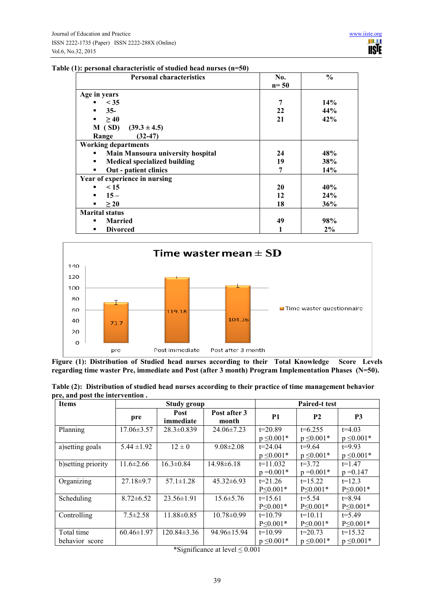|  | Table (1): personal characteristic of studied head nurses $(n=50)$ |  |  |  |
|--|--------------------------------------------------------------------|--|--|--|
|  |                                                                    |  |  |  |

| <b>Personal characteristics</b>          | No.    | $\frac{0}{0}$ |
|------------------------------------------|--------|---------------|
|                                          | $n=50$ |               |
| Age in years                             |        |               |
| $<$ 35<br>٠                              | 7      | 14%           |
| $35 -$<br>٠                              | 22     | 44%           |
| >40<br>٠                                 | 21     | 42%           |
| M(SD)<br>$(39.3 \pm 4.5)$                |        |               |
| $(32-47)$<br>Range                       |        |               |
| <b>Working departments</b>               |        |               |
| <b>Main Mansoura university hospital</b> | 24     | 48%           |
| <b>Medical specialized building</b><br>٠ | 19     | 38%           |
| Out - patient clinics<br>٠               | 7      | 14%           |
| Year of experience in nursing            |        |               |
| $\leq 15$                                | 20     | 40%           |
| $15 -$<br>٠                              | 12     | 24%           |
| $\geq 20$<br>٠                           | 18     | 36%           |
| <b>Marital status</b>                    |        |               |
| <b>Married</b><br>٠                      | 49     | 98%           |
| <b>Divorced</b><br>٠                     | 1      | 2%            |



Figure (1): Distribution of Studied head nurses according to their Total Knowledge Score Levels **regarding time waster Pre, immediate and Post (after 3 month) Program Implementation Phases (N=50).** 

|                                 |  |  | Table (2): Distribution of studied head nurses according to their practice of time management behavior |
|---------------------------------|--|--|--------------------------------------------------------------------------------------------------------|
| pre, and post the intervention. |  |  |                                                                                                        |

| <b>Items</b>        |                  | <b>Study group</b>             |                       |                 | <b>Paired-t test</b> |                 |
|---------------------|------------------|--------------------------------|-----------------------|-----------------|----------------------|-----------------|
|                     | pre              | <b>Post</b><br>immediate       | Post after 3<br>month | <b>P1</b>       | <b>P2</b>            | P <sub>3</sub>  |
| Planning            | $17.06 \pm 3.57$ | $28.3 \pm 0.839$               | $24.06 \pm 7.23$      | $t=20.89$       | $t=6.255$            | $t=4.03$        |
|                     |                  |                                |                       | $p \leq 0.001*$ | $p \leq 0.001*$      | $p \leq 0.001*$ |
| a) setting goals    | $5.44 \pm 1.92$  | $12 \pm 0$                     | $9.08 \pm 2.08$       | $t = 24.04$     | $t=9.64$             | $t=9.93$        |
|                     |                  |                                |                       | $p \leq 0.001*$ | $p \leq 0.001*$      | $p \leq 0.001*$ |
| b) setting priority | $11.6 \pm 2.66$  | $16.3 \pm 0.84$                | $14.98 \pm 6.18$      | $t=11.032$      | $t = 3.72$           | $t=1.47$        |
|                     |                  |                                |                       | $p = 0.001*$    | $p = 0.001*$         | $p = 0.147$     |
| Organizing          | $27.18 \pm 9.7$  | $57.1 \pm 1.28$                | $45.32\pm 6.93$       | $t = 21.26$     | $t=15.22$            | $t=12.3$        |
|                     |                  |                                |                       | $P \le 0.001*$  | $P \le 0.001*$       | $P \le 0.001*$  |
| Scheduling          | $8.72 \pm 6.52$  | $23.56 \pm 1.91$               | $15.6 \pm 5.76$       | $t=15.61$       | $t = 5.54$           | $t = 8.94$      |
|                     |                  |                                |                       | $P \le 0.001*$  | $P \le 0.001*$       | $P \le 0.001*$  |
| Controlling         | $7.5 \pm 2.58$   | $11.88 \pm 0.85$               | $10.78 \pm 0.99$      | $t=10.79$       | $t=10.11$            | $t = 5.49$      |
|                     |                  |                                |                       | $P \le 0.001*$  | $P \le 0.001*$       | $P \leq 0.001*$ |
| Total time          | $60.46 \pm 1.97$ | $120.84 \pm 3.36$              | $94.96 \pm 15.94$     | $t=10.99$       | $t=20.73$            | $t=15.32$       |
| behavior score      |                  | $\sim$ $\sim$ $\sim$<br>$\sim$ | $-1$ $-1$ $-2$ $-2$   | $p \leq 0.001*$ | $p \leq 0.001*$      | $p \leq 0.001*$ |

<sup>\*</sup>Significance at level ≤ 0.001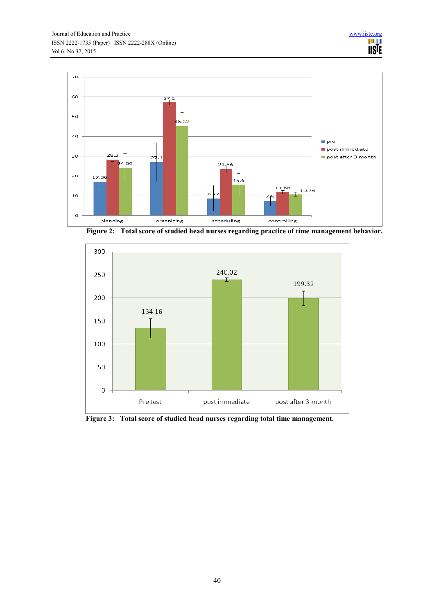

**Figure 2: Total score of studied head nurses regarding practice of time management behavior.** 



**Figure 3: Total score of studied head nurses regarding total time management.**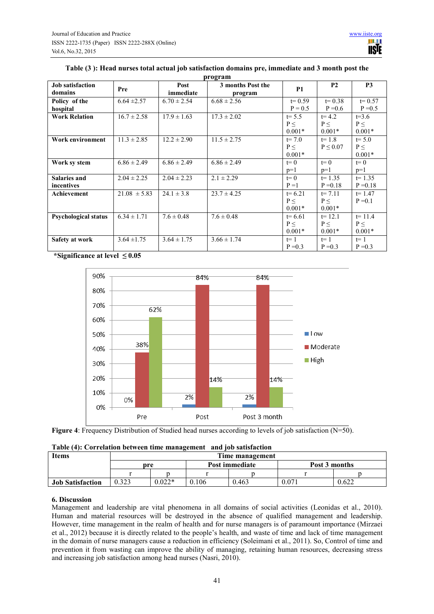| <b>Job satisfaction</b><br>domains | Pre              | Post<br>immediate | 3 months Post the<br>program | <b>P1</b>  | P <sub>2</sub> | P <sub>3</sub> |
|------------------------------------|------------------|-------------------|------------------------------|------------|----------------|----------------|
| Policy of the                      | $6.64 \pm 2.57$  | $6.70 \pm 2.54$   | $6.68 \pm 2.56$              | $t = 0.59$ | $t = 0.38$     | $t = 0.57$     |
| hospital                           |                  |                   |                              | $P = 0.5$  | $P = 0.6$      | $P = 0.5$      |
| <b>Work Relation</b>               | $16.7 \pm 2.58$  | $17.9 \pm 1.63$   | $17.3 \pm 2.02$              | $t = 5.5$  | $t = 4.2$      | $t=3.6$        |
|                                    |                  |                   |                              | $P \leq$   | $P \leq$       | $P \leq$       |
|                                    |                  |                   |                              | $0.001*$   | $0.001*$       | $0.001*$       |
| Work environment                   | $11.3 \pm 2.85$  | $12.2 \pm 2.90$   | $11.5 \pm 2.75$              | $t = 7.0$  | $t = 1.8$      | $t = 5.0$      |
|                                    |                  |                   |                              | $P \leq$   | $P \leq 0.07$  | $P \leq$       |
|                                    |                  |                   |                              | $0.001*$   |                | $0.001*$       |
| Work sy stem                       | $6.86 \pm 2.49$  | $6.86 \pm 2.49$   | $6.86 \pm 2.49$              | $t=0$      | $t=0$          | $t=0$          |
|                                    |                  |                   |                              | $p=1$      | $p=1$          | $p=1$          |
| <b>Salaries and</b>                | $2.04 \pm 2.25$  | $2.04 \pm 2.23$   | $2.1 \pm 2.29$               | $t=0$      | $t = 1.35$     | $t = 1.35$     |
| incentives                         |                  |                   |                              | $P = 1$    | $P = 0.18$     | $P = 0.18$     |
| Achievement                        | $21.08 \pm 5.83$ | $24.1 \pm 3.8$    | $23.7 \pm 4.25$              | $t = 6.21$ | $t = 7.11$     | $t = 1.47$     |
|                                    |                  |                   |                              | P<         | P<             | $P = 0.1$      |
|                                    |                  |                   |                              | $0.001*$   | $0.001*$       |                |
| <b>Psychological status</b>        | $6.34 \pm 1.71$  | $7.6 \pm 0.48$    | $7.6 \pm 0.48$               | $t = 6.61$ | $t = 12.1$     | $t = 11.4$     |
|                                    |                  |                   |                              | $P \leq$   | $P \leq$       | $P \leq$       |
|                                    |                  |                   |                              | $0.001*$   | $0.001*$       | $0.001*$       |
| Safety at work                     | $3.64 \pm 1.75$  | $3.64 \pm 1.75$   | $3.66 \pm 1.74$              | $t=1$      | $t=1$          | $t=1$          |
|                                    |                  |                   |                              | $P = 0.3$  | $P = 0.3$      | $P = 0.3$      |

## **Table (3 ): Head nurses total actual job satisfaction domains pre, immediate and 3 month post the program**

 **\*Significance at level ≤ 0.05** 





|  |  |  |  | Table (4): Correlation between time management and job satisfaction |  |  |
|--|--|--|--|---------------------------------------------------------------------|--|--|
|--|--|--|--|---------------------------------------------------------------------|--|--|

| <b>Items</b>            | Time management |          |     |                |               |       |  |  |
|-------------------------|-----------------|----------|-----|----------------|---------------|-------|--|--|
|                         | pre             |          |     | Post immediate | Post 3 months |       |  |  |
|                         |                 |          |     |                |               |       |  |  |
| <b>Job Satisfaction</b> | 0.323           | $0.022*$ | 106 | 0.463          | 0.071         | 0.622 |  |  |

## **6. Discussion**

Management and leadership are vital phenomena in all domains of social activities (Leonidas et al., 2010). Human and material resources will be destroyed in the absence of qualified management and leadership. However, time management in the realm of health and for nurse managers is of paramount importance (Mirzaei et al., 2012) because it is directly related to the people's health, and waste of time and lack of time management in the domain of nurse managers cause a reduction in efficiency (Soleimani et al., 2011). So, Control of time and prevention it from wasting can improve the ability of managing, retaining human resources, decreasing stress and increasing job satisfaction among head nurses (Nasri, 2010).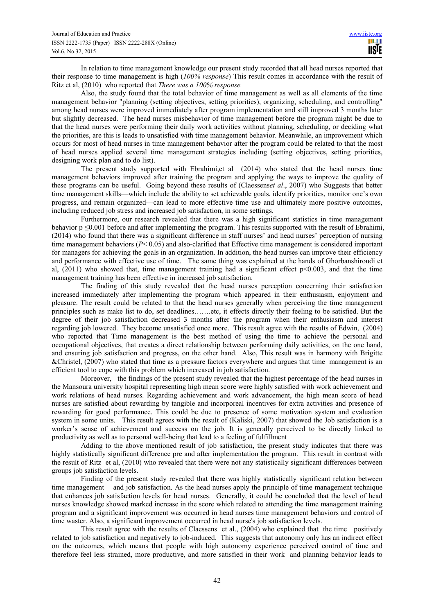In relation to time management knowledge our present study recorded that all head nurses reported that their response to time management is high (*100% response*) This result comes in accordance with the result of Ritz et al, (2010) who reported that *There was a 100% response.*

Also, the study found that the total behavior of time management as well as all elements of the time management behavior "planning (setting objectives, setting priorities), organizing, scheduling, and controlling" among head nurses were improved immediately after program implementation and still improved 3 months later but slightly decreased. The head nurses misbehavior of time management before the program might be due to that the head nurses were performing their daily work activities without planning, scheduling, or deciding what the priorities, are this is leads to unsatisfied with time management behavior. Meanwhile, an improvement which occurs for most of head nurses in time management behavior after the program could be related to that the most of head nurses applied several time management strategies including (setting objectives, setting priorities, designing work plan and to do list).

The present study supported with Ebrahimi,et al (2014) who stated that the head nurses time management behaviors improved after training the program and applying the ways to improve the quality of these programs can be useful. Going beyond these results of (Claessens*et al*., 2007) who Suggests that better time management skills—which include the ability to set achievable goals, identify priorities, monitor one's own progress, and remain organized—can lead to more effective time use and ultimately more positive outcomes, including reduced job stress and increased job satisfaction, in some settings.

Furthermore, our research revealed that there was a high significant statistics in time management behavior  $p \leq 0.001$  before and after implementing the program. This results supported with the result of Ebrahimi, (2014) who found that there was a significant difference in staff nurses' and head nurses' perception of nursing time management behaviors (*P*< 0.05) and also-clarified that Effective time management is considered important for managers for achieving the goals in an organization. In addition, the head nurses can improve their efficiency and performance with effective use of time. The same thing was explained at the hands of Ghorbanshiroudi et al,  $(2011)$  who showed that, time management training had a significant effect  $p<0.003$ , and that the time management training has been effective in increased job satisfaction.

The finding of this study revealed that the head nurses perception concerning their satisfaction increased immediately after implementing the program which appeared in their enthusiasm, enjoyment and pleasure. The result could be related to that the head nurses generally when perceiving the time management principles such as make list to do, set deadlines…….etc, it effects directly their feeling to be satisfied. But the degree of their job satisfaction decreased 3 months after the program when their enthusiasm and interest regarding job lowered. They become unsatisfied once more. This result agree with the results of Edwin, (2004) who reported that Time management is the best method of using the time to achieve the personal and occupational objectives, that creates a direct relationship between performing daily activities, on the one hand, and ensuring job satisfaction and progress, on the other hand. Also, This result was in harmony with Brigitte &Christel, (2007) who stated that time as a pressure factors everywhere and argues that time management is an efficient tool to cope with this problem which increased in job satisfaction.

Moreover, the findings of the present study revealed that the highest percentage of the head nurses in the Mansoura university hospital representing high mean score were highly satisfied with work achievement and work relations of head nurses. Regarding achievement and work advancement, the high mean score of head nurses are satisfied about rewarding by tangible and incorporeal incentives for extra activities and presence of rewarding for good performance. This could be due to presence of some motivation system and evaluation system in some units. This result agrees with the result of (Kaliski, 2007) that showed the Job satisfaction is a worker's sense of achievement and success on the job. It is generally perceived to be directly linked to productivity as well as to personal well-being that lead to a feeling of fulfillment

Adding to the above mentioned result of job satisfaction, the present study indicates that there was highly statistically significant difference pre and after implementation the program. This result in contrast with the result of Ritz et al, (2010) who revealed that there were not any statistically significant differences between groups job satisfaction levels.

Finding of the present study revealed that there was highly statistically significant relation between time management and job satisfaction. As the head nurses apply the principle of time management technique that enhances job satisfaction levels for head nurses. Generally, it could be concluded that the level of head nurses knowledge showed marked increase in the score which related to attending the time management training program and a significant improvement was occurred in head nurses time management behaviors and control of time waster. Also, a significant improvement occurred in head nurse's job satisfaction levels.

This result agree with the results of Claessens et al., (2004) who explained that the time positively related to job satisfaction and negatively to job-induced. This suggests that autonomy only has an indirect effect on the outcomes, which means that people with high autonomy experience perceived control of time and therefore feel less strained, more productive, and more satisfied in their work and planning behavior leads to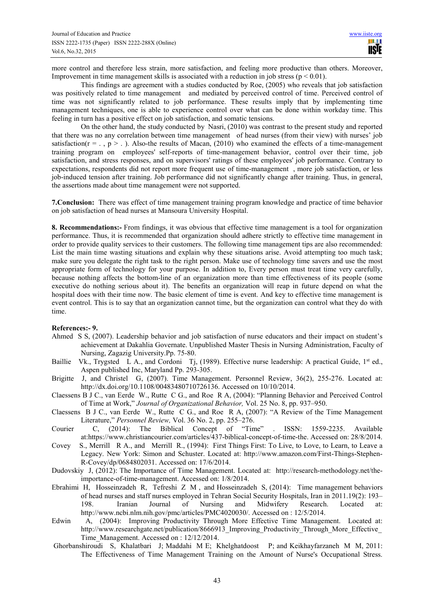more control and therefore less strain, more satisfaction, and feeling more productive than others. Moreover, Improvement in time management skills is associated with a reduction in job stress ( $p < 0.01$ ).

This findings are agreement with a studies conducted by Roe, (2005) who reveals that job satisfaction was positively related to time management and mediated by perceived control of time. Perceived control of time was not significantly related to job performance. These results imply that by implementing time management techniques, one is able to experience control over what can be done within workday time. This feeling in turn has a positive effect on job satisfaction, and somatic tensions.

On the other hand, the study conducted by Nasri, (2010) was contrast to the present study and reported that there was no any correlation between time management of head nurses (from their view) with nurses' job satisfaction( $r = .$ ,  $p > .$ ). Also-the results of Macan, (2010) who examined the effects of a time-management training program on employees' self-reports of time-management behavior, control over their time, job satisfaction, and stress responses, and on supervisors' ratings of these employees' job performance. Contrary to expectations, respondents did not report more frequent use of time-management , more job satisfaction, or less job-induced tension after training. Job performance did not significantly change after training. Thus, in general, the assertions made about time management were not supported.

**7.Conclusion:** There was effect of time management training program knowledge and practice of time behavior on job satisfaction of head nurses at Mansoura University Hospital.

**8. Recommendations:-** From findings, it was obvious that effective time management is a tool for organization performance. Thus, it is recommended that organization should adhere strictly to effective time management in order to provide quality services to their customers. The following time management tips are also recommended: List the main time wasting situations and explain why these situations arise. Avoid attempting too much task; make sure you delegate the right task to the right person. Make use of technology time savers and use the most appropriate form of technology for your purpose. In addition to, Every person must treat time very carefully, because nothing affects the bottom-line of an organization more than time effectiveness of its people (some executive do nothing serious about it). The benefits an organization will reap in future depend on what the hospital does with their time now. The basic element of time is event. And key to effective time management is event control. This is to say that an organization cannot time, but the organization can control what they do with time.

### **References:- 9.**

- Ahmed S S, (2007). Leadership behavior and job satisfaction of nurse educators and their impact on student's achievement at Dakahlia Governate. Unpublished Master Thesis in Nursing Administration, Faculty of Nursing, Zagazig University.Pp. 75-80.
- Baillie Vk., Trygsted L A., and Cordoni Tj, (1989). Effective nurse leadership: A practical Guide, 1<sup>st</sup> ed., Aspen published Inc, Maryland Pp. 293-305.
- Brigitte J, and Christel G, (2007). Time Management. Personnel Review, 36(2), 255-276. Located at: http://dx.doi.org/10.1108/00483480710726136. Accessed on 10/10/2014.
- Claessens B J C., van Eerde W., Rutte C G., and Roe R A, (2004): "Planning Behavior and Perceived Control of Time at Work," *Journal of Organizational Behavior,* Vol. 25 No. 8, pp. 937–950.
- Claessens B J C., van Eerde W., Rutte C G., and Roe R A, (2007): "A Review of the Time Management Literature," *Personnel Review*, Vol. 36 No. 2, pp. 255–276.<br>C. (2014): The Biblical Concept of "Time"
- Courier C, (2014): The Biblical Concept of "Time" . ISSN: 1559-2235. Available at:https://www.christiancourier.com/articles/437-biblical-concept-of-time-the. Accessed on: 28/8/2014.
- Covey S., Merrill R A., and Merrill R., (1994): First Things First: To Live, to Love, to Learn, to Leave a Legacy. New York: Simon and Schuster. Located at: http://www.amazon.com/First-Things-Stephen-R-Covey/dp/0684802031. Accessed on: 17/6/2014.
- Dudovskiy J, (2012): The Importance of Time Management. Located at: http://research-methodology.net/theimportance-of-time-management. Accessed on: 1/8/2014.
- Ebrahimi H, Hosseinzadeh R, Tefreshi Z M , and Hosseinzadeh S, (2014): Time management behaviors of head nurses and staff nurses employed in Tehran Social Security Hospitals, Iran in 2011.19(2): 193– 198. Iranian Journal of Nursing and Midwifery Research. Located at: http://www.ncbi.nlm.nih.gov/pmc/articles/PMC4020030/. Accessed on : 12/5/2014.
- Edwin A, (2004): Improving Productivity Through More Effective Time Management. Located at: http://www.researchgate.net/publication/8666913\_Improving\_Productivity\_Through\_More\_Effective Time\_Management. Accessed on : 12/12/2014.
- Ghorbanshiroudi S, Khalatbari J; Maddahi M E; Khelghatdoost P; and Keikhayfarzaneh M M, 2011: The Effectiveness of Time Management Training on the Amount of Nurse's Occupational Stress.